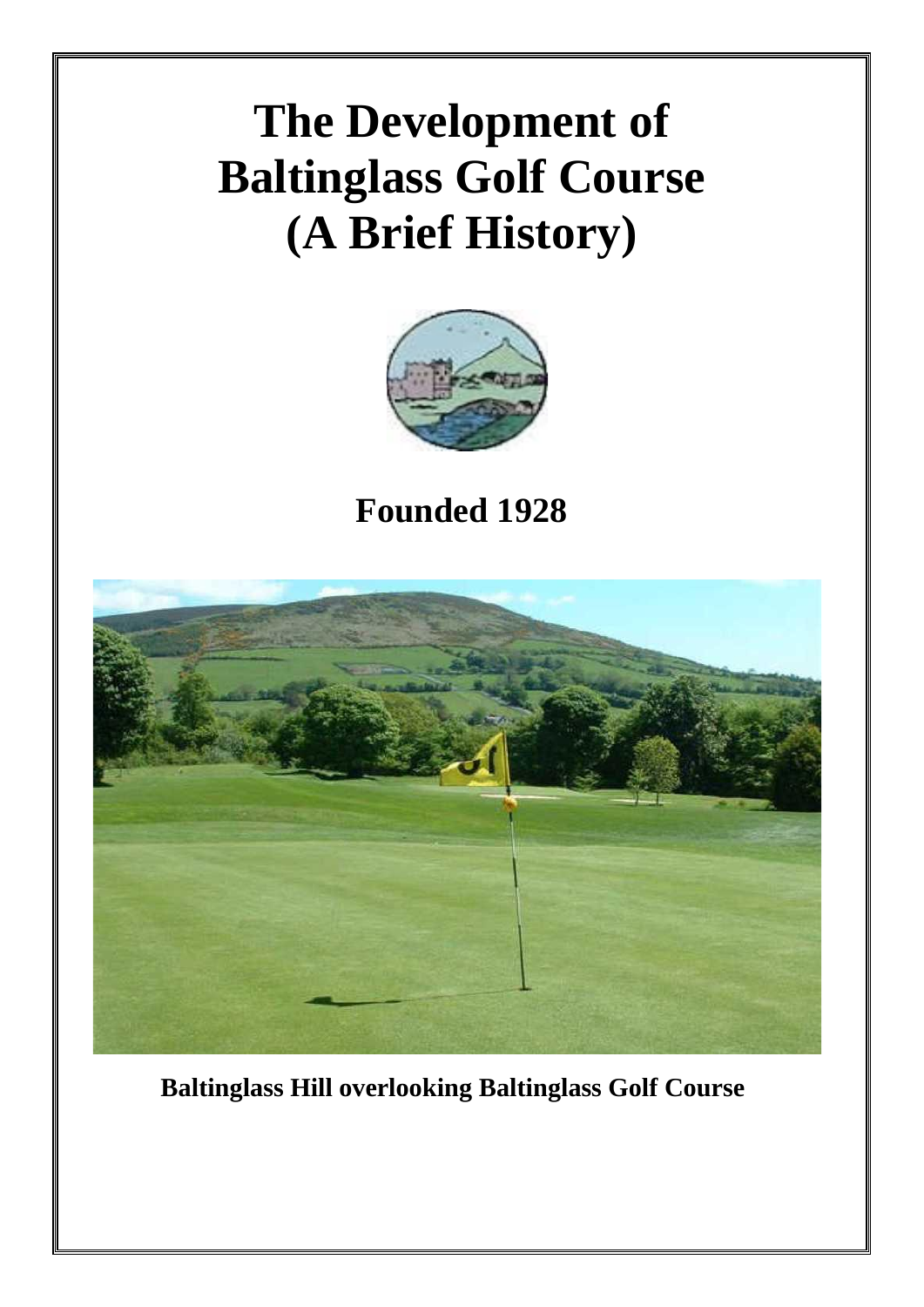## **The Development of Baltinglass Golf Course (A Brief History)**



**Founded 1928**



 **Baltinglass Hill overlooking Baltinglass Golf Course**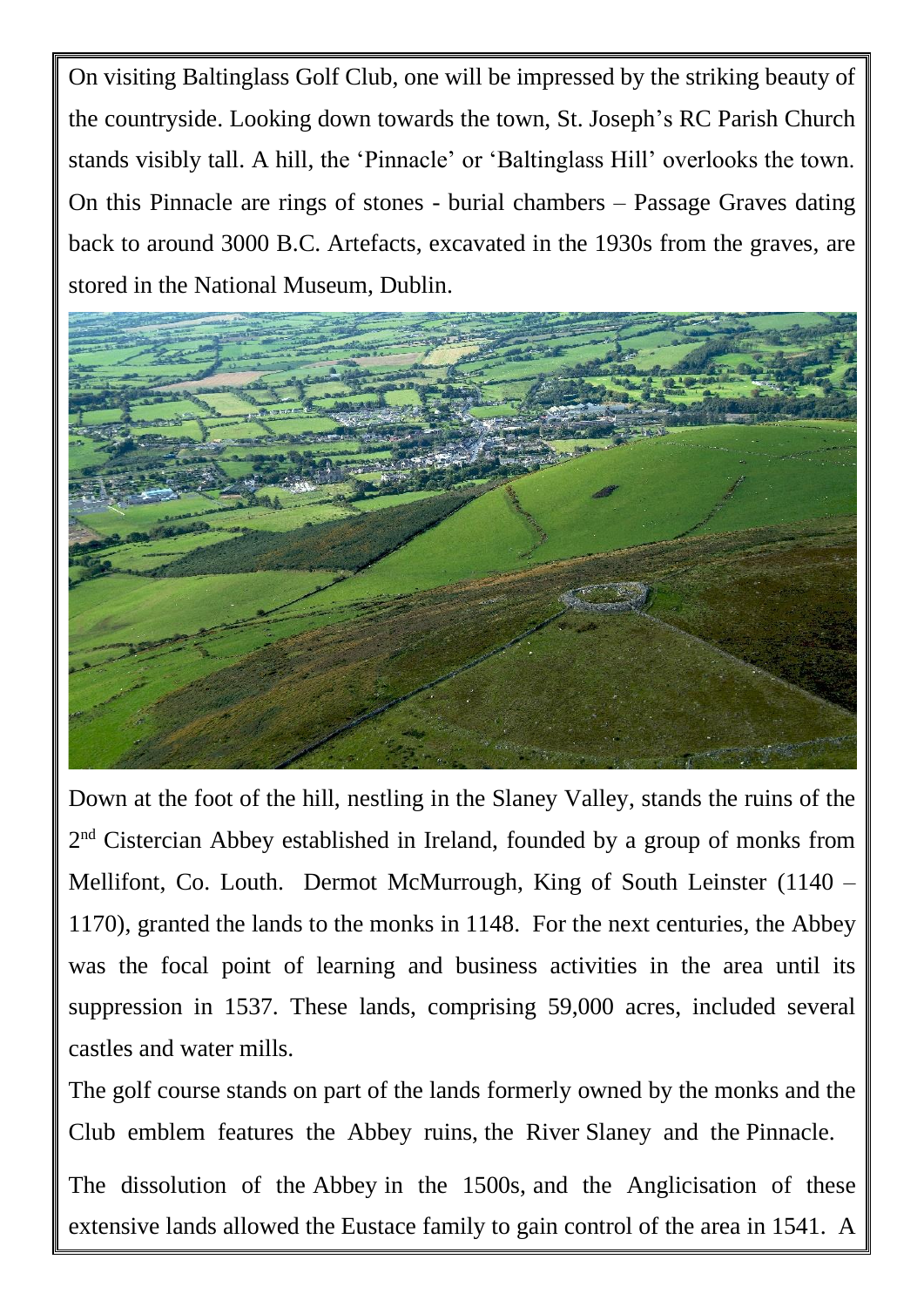On visiting Baltinglass Golf Club, one will be impressed by the striking beauty of the countryside. Looking down towards the town, St. Joseph's RC Parish Church stands visibly tall. A hill, the 'Pinnacle' or 'Baltinglass Hill' overlooks the town. On this Pinnacle are rings of stones - burial chambers – Passage Graves dating back to around 3000 B.C. Artefacts, excavated in the 1930s from the graves, are stored in the National Museum, Dublin.



Down at the foot of the hill, nestling in the Slaney Valley, stands the ruins of the 2<sup>nd</sup> Cistercian Abbey established in Ireland, founded by a group of monks from Mellifont, Co. Louth. Dermot McMurrough, King of South Leinster (1140 – 1170), granted the lands to the monks in 1148. For the next centuries, the Abbey was the focal point of learning and business activities in the area until its suppression in 1537. These lands, comprising 59,000 acres, included several castles and water mills.

The golf course stands on part of the lands formerly owned by the monks and the Club emblem features the Abbey ruins, the River Slaney and the Pinnacle.

The dissolution of the Abbey in the 1500s, and the Anglicisation of these extensive lands allowed the Eustace family to gain control of the area in 1541. A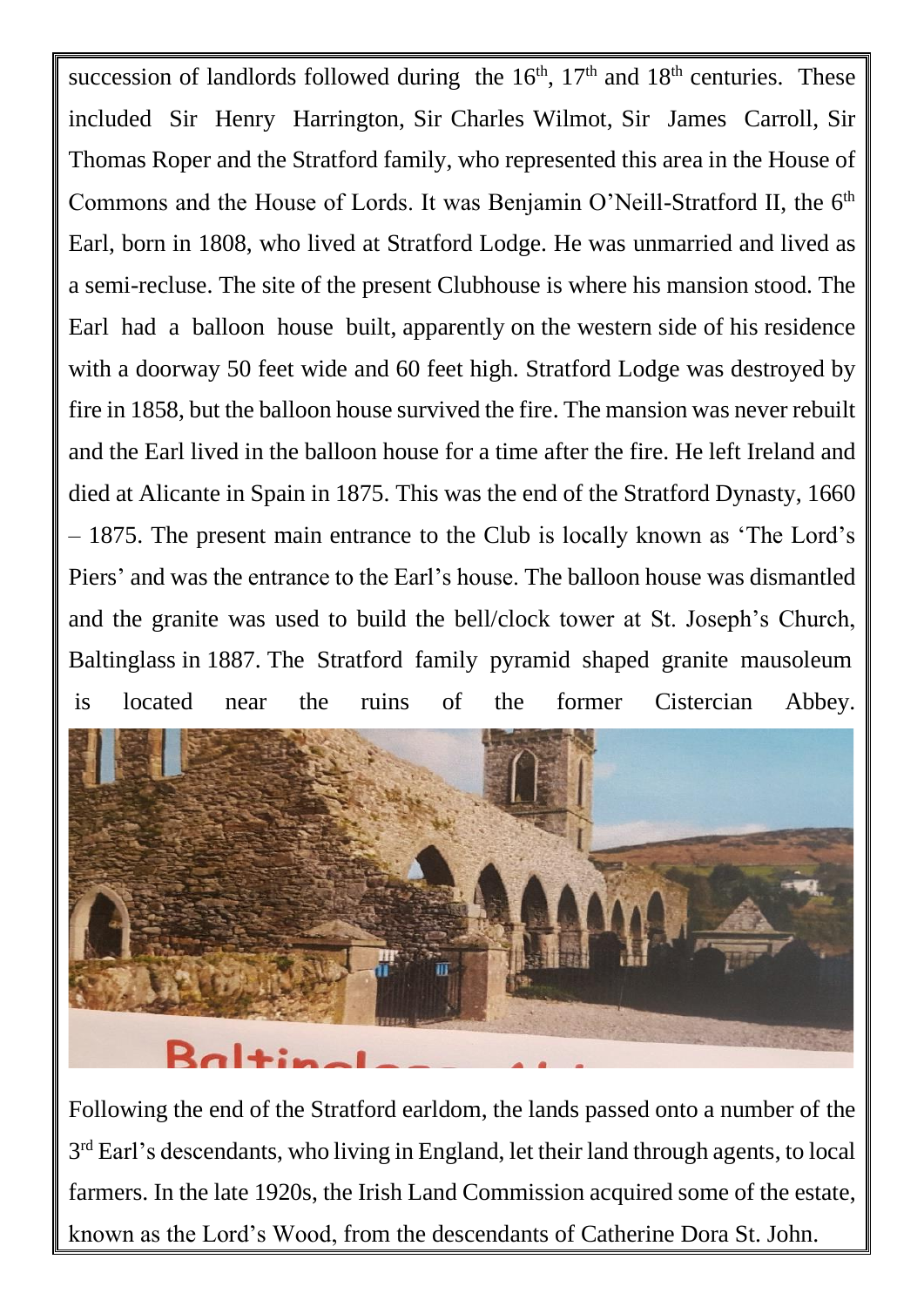succession of landlords followed during the  $16<sup>th</sup>$ ,  $17<sup>th</sup>$  and  $18<sup>th</sup>$  centuries. These included Sir Henry Harrington, Sir Charles Wilmot, Sir James Carroll, Sir Thomas Roper and the Stratford family, who represented this area in the House of Commons and the House of Lords. It was Benjamin O'Neill-Stratford II, the 6<sup>th</sup> Earl, born in 1808, who lived at Stratford Lodge. He was unmarried and lived as a semi-recluse. The site of the present Clubhouse is where his mansion stood. The Earl had a balloon house built, apparently on the western side of his residence with a doorway 50 feet wide and 60 feet high. Stratford Lodge was destroyed by fire in 1858, but the balloon house survived the fire. The mansion was never rebuilt and the Earl lived in the balloon house for a time after the fire. He left Ireland and died at Alicante in Spain in 1875. This was the end of the Stratford Dynasty, 1660 – 1875. The present main entrance to the Club is locally known as 'The Lord's Piers' and was the entrance to the Earl's house. The balloon house was dismantled and the granite was used to build the bell/clock tower at St. Joseph's Church, Baltinglass in 1887. The Stratford family pyramid shaped granite mausoleum is located near the ruins of the former Cistercian Abbey.



Following the end of the Stratford earldom, the lands passed onto a number of the 3<sup>rd</sup> Earl's descendants, who living in England, let their land through agents, to local farmers. In the late 1920s, the Irish Land Commission acquired some of the estate, known as the Lord's Wood, from the descendants of Catherine Dora St. John.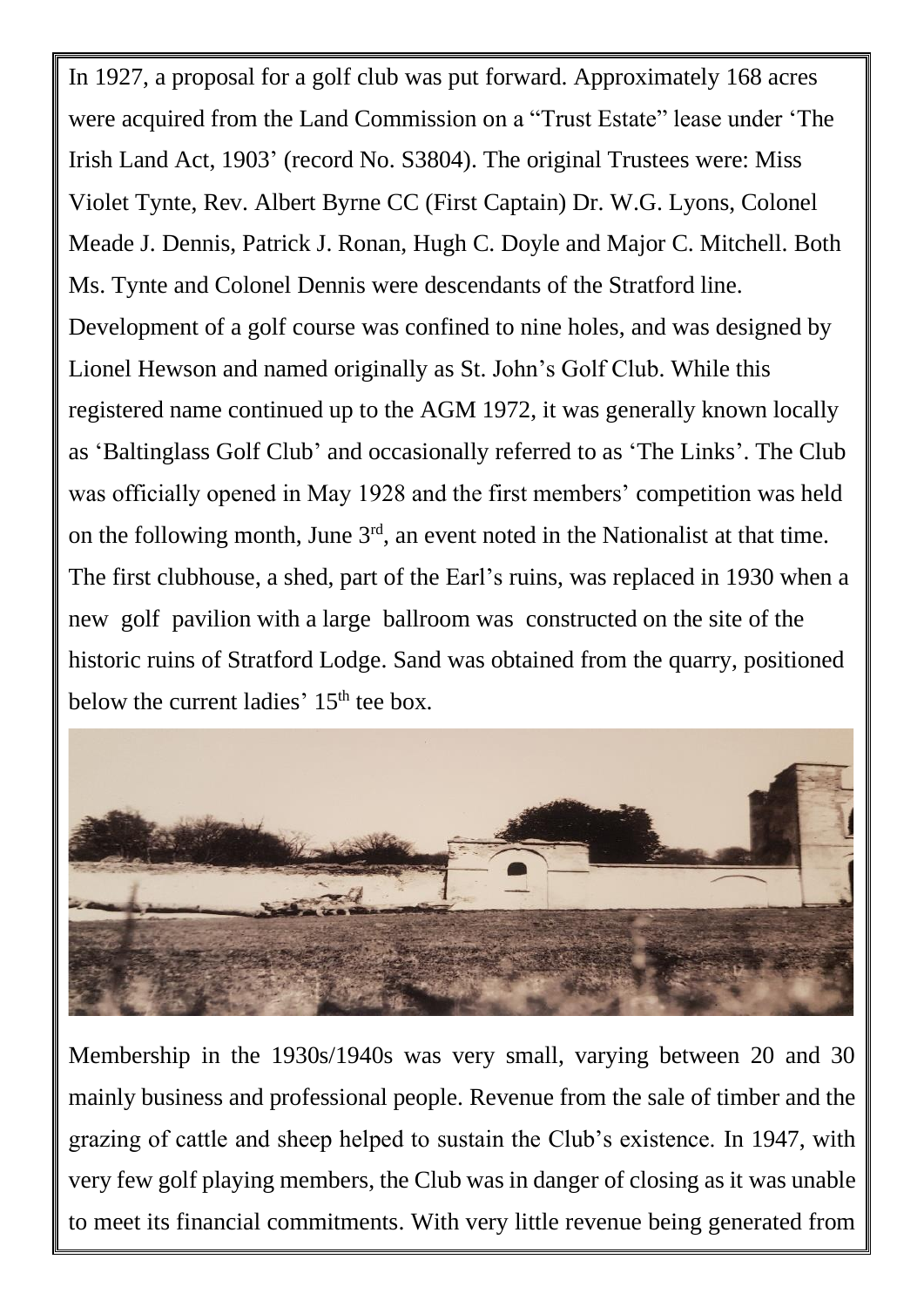In 1927, a proposal for a golf club was put forward. Approximately 168 acres were acquired from the Land Commission on a "Trust Estate" lease under 'The Irish Land Act, 1903' (record No. S3804). The original Trustees were: Miss Violet Tynte, Rev. Albert Byrne CC (First Captain) Dr. W.G. Lyons, Colonel Meade J. Dennis, Patrick J. Ronan, Hugh C. Doyle and Major C. Mitchell. Both Ms. Tynte and Colonel Dennis were descendants of the Stratford line. Development of a golf course was confined to nine holes, and was designed by Lionel Hewson and named originally as St. John's Golf Club. While this registered name continued up to the AGM 1972, it was generally known locally as 'Baltinglass Golf Club' and occasionally referred to as 'The Links'. The Club was officially opened in May 1928 and the first members' competition was held on the following month, June  $3<sup>rd</sup>$ , an event noted in the Nationalist at that time. The first clubhouse, a shed, part of the Earl's ruins, was replaced in 1930 when a new golf pavilion with a large ballroom was constructed on the site of the historic ruins of Stratford Lodge. Sand was obtained from the quarry, positioned below the current ladies'  $15<sup>th</sup>$  tee box.



Membership in the 1930s/1940s was very small, varying between 20 and 30 mainly business and professional people. Revenue from the sale of timber and the grazing of cattle and sheep helped to sustain the Club's existence. In 1947, with very few golf playing members, the Club was in danger of closing as it was unable to meet its financial commitments. With very little revenue being generated from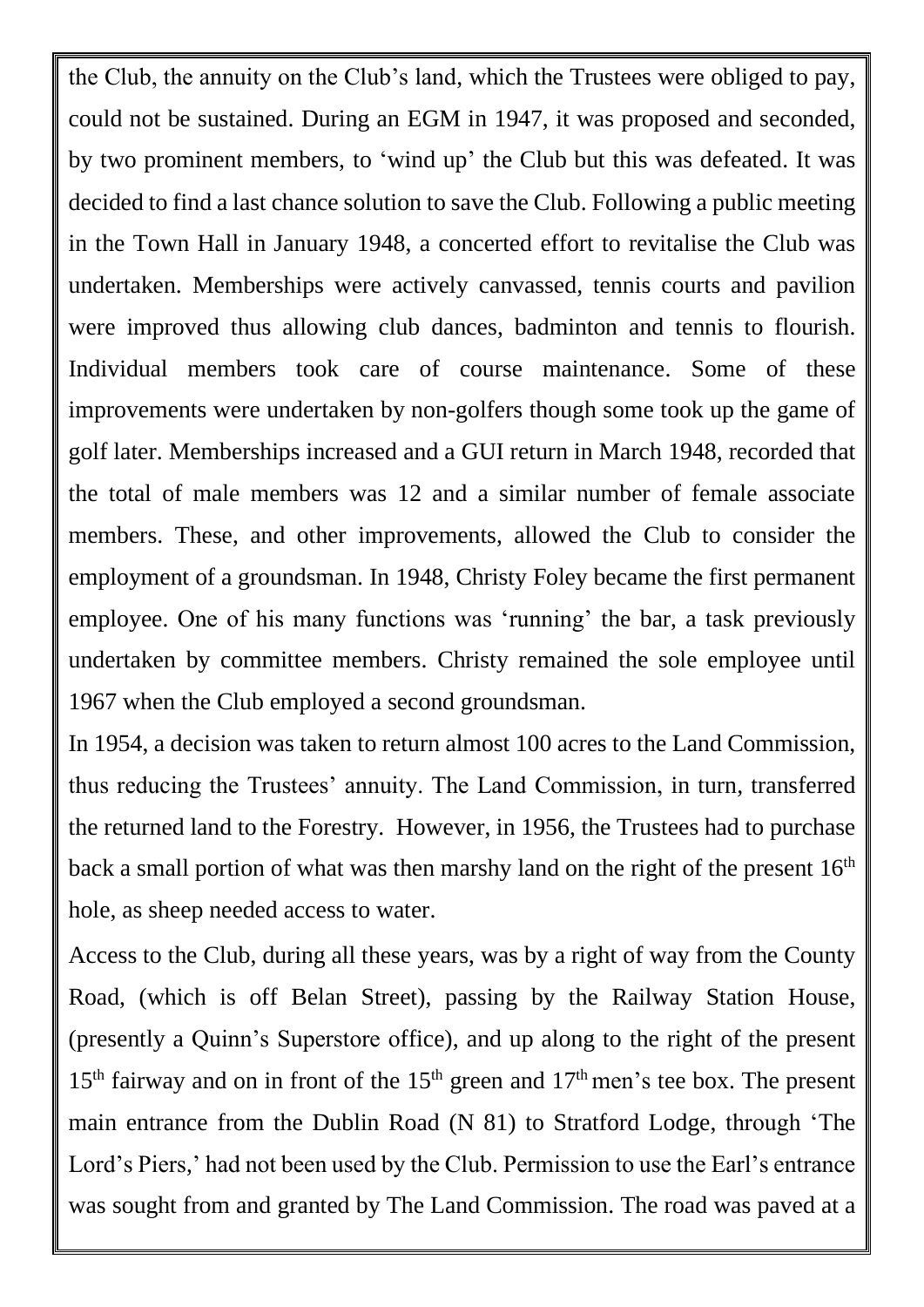the Club, the annuity on the Club's land, which the Trustees were obliged to pay, could not be sustained. During an EGM in 1947, it was proposed and seconded, by two prominent members, to 'wind up' the Club but this was defeated. It was decided to find a last chance solution to save the Club. Following a public meeting in the Town Hall in January 1948, a concerted effort to revitalise the Club was undertaken. Memberships were actively canvassed, tennis courts and pavilion were improved thus allowing club dances, badminton and tennis to flourish. Individual members took care of course maintenance. Some of these improvements were undertaken by non-golfers though some took up the game of golf later. Memberships increased and a GUI return in March 1948, recorded that the total of male members was 12 and a similar number of female associate members. These, and other improvements, allowed the Club to consider the employment of a groundsman. In 1948, Christy Foley became the first permanent employee. One of his many functions was 'running' the bar, a task previously undertaken by committee members. Christy remained the sole employee until 1967 when the Club employed a second groundsman.

In 1954, a decision was taken to return almost 100 acres to the Land Commission, thus reducing the Trustees' annuity. The Land Commission, in turn, transferred the returned land to the Forestry. However, in 1956, the Trustees had to purchase back a small portion of what was then marshy land on the right of the present  $16<sup>th</sup>$ hole, as sheep needed access to water.

Access to the Club, during all these years, was by a right of way from the County Road, (which is off Belan Street), passing by the Railway Station House, (presently a Quinn's Superstore office), and up along to the right of the present  $15<sup>th</sup>$  fairway and on in front of the  $15<sup>th</sup>$  green and  $17<sup>th</sup>$  men's tee box. The present main entrance from the Dublin Road (N 81) to Stratford Lodge, through 'The Lord's Piers,' had not been used by the Club. Permission to use the Earl's entrance was sought from and granted by The Land Commission. The road was paved at a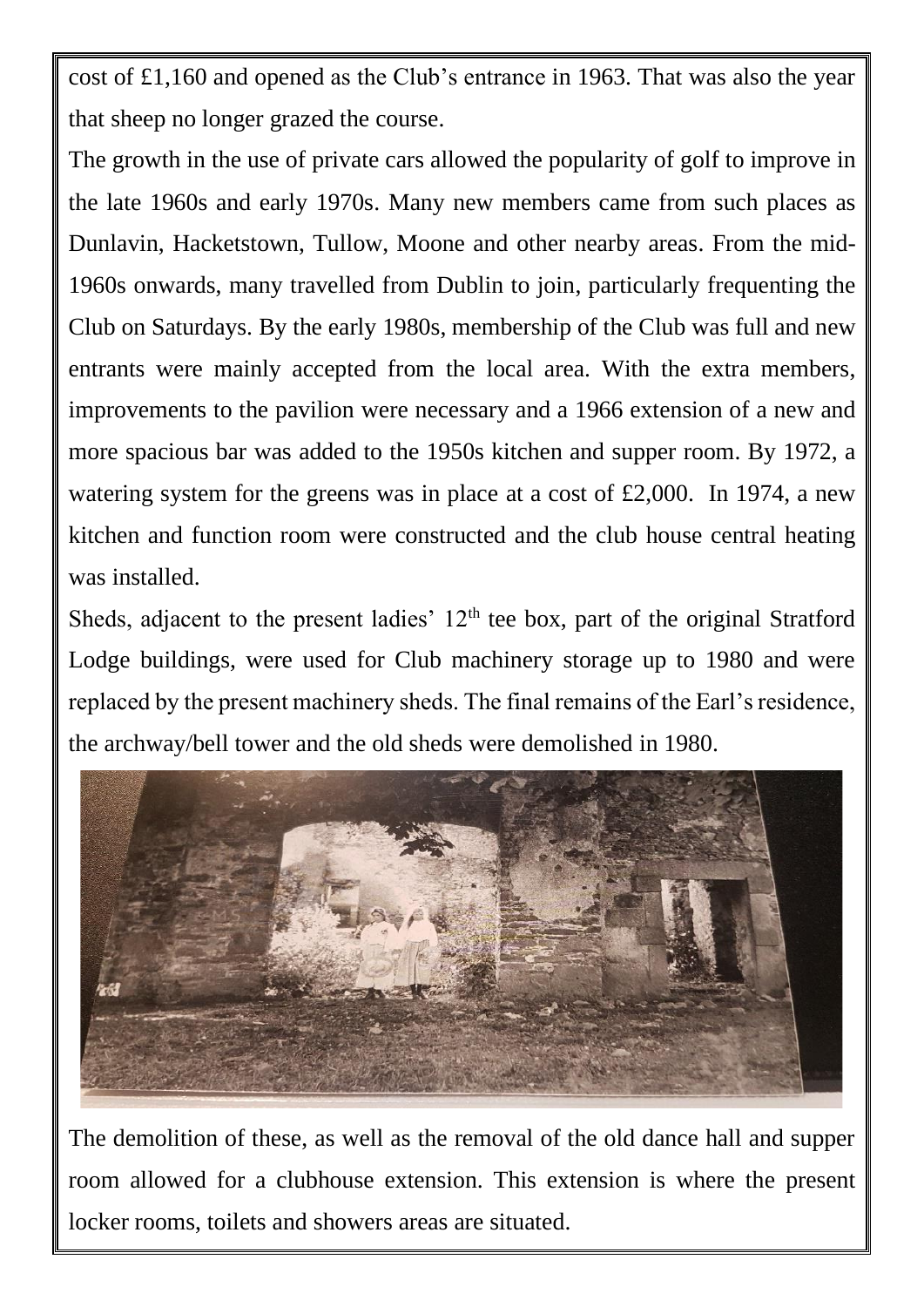cost of £1,160 and opened as the Club's entrance in 1963. That was also the year that sheep no longer grazed the course.

The growth in the use of private cars allowed the popularity of golf to improve in the late 1960s and early 1970s. Many new members came from such places as Dunlavin, Hacketstown, Tullow, Moone and other nearby areas. From the mid-1960s onwards, many travelled from Dublin to join, particularly frequenting the Club on Saturdays. By the early 1980s, membership of the Club was full and new entrants were mainly accepted from the local area. With the extra members, improvements to the pavilion were necessary and a 1966 extension of a new and more spacious bar was added to the 1950s kitchen and supper room. By 1972, a watering system for the greens was in place at a cost of £2,000. In 1974, a new kitchen and function room were constructed and the club house central heating was installed.

Sheds, adjacent to the present ladies'  $12<sup>th</sup>$  tee box, part of the original Stratford Lodge buildings, were used for Club machinery storage up to 1980 and were replaced by the present machinery sheds. The final remains of the Earl's residence, the archway/bell tower and the old sheds were demolished in 1980.



The demolition of these, as well as the removal of the old dance hall and supper room allowed for a clubhouse extension. This extension is where the present locker rooms, toilets and showers areas are situated.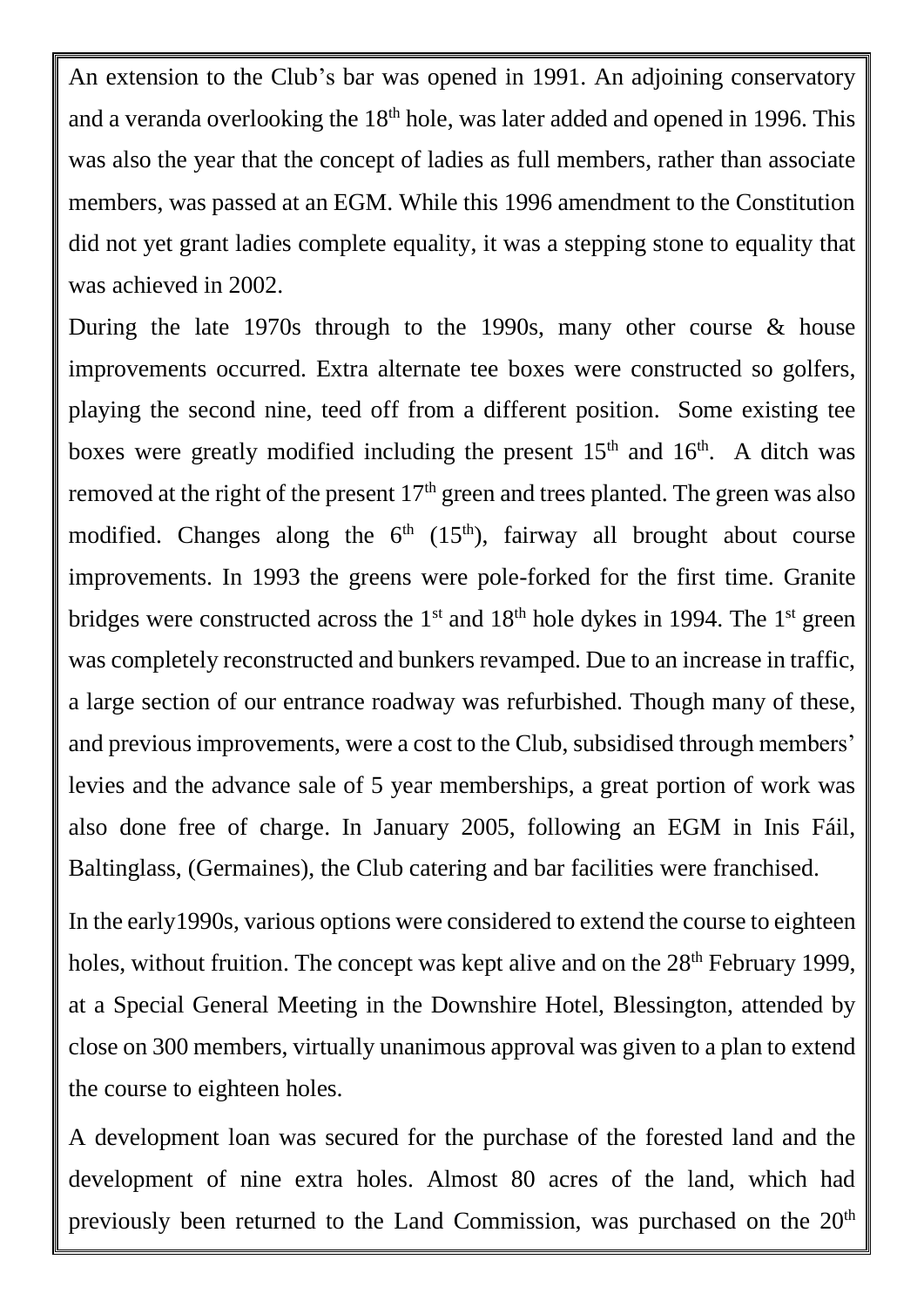An extension to the Club's bar was opened in 1991. An adjoining conservatory and a veranda overlooking the  $18<sup>th</sup>$  hole, was later added and opened in 1996. This was also the year that the concept of ladies as full members, rather than associate members, was passed at an EGM. While this 1996 amendment to the Constitution did not yet grant ladies complete equality, it was a stepping stone to equality that was achieved in 2002.

During the late 1970s through to the 1990s, many other course & house improvements occurred. Extra alternate tee boxes were constructed so golfers, playing the second nine, teed off from a different position. Some existing tee boxes were greatly modified including the present  $15<sup>th</sup>$  and  $16<sup>th</sup>$ . A ditch was removed at the right of the present  $17<sup>th</sup>$  green and trees planted. The green was also modified. Changes along the  $6<sup>th</sup>$  (15<sup>th</sup>), fairway all brought about course improvements. In 1993 the greens were pole-forked for the first time. Granite bridges were constructed across the  $1<sup>st</sup>$  and  $18<sup>th</sup>$  hole dykes in 1994. The  $1<sup>st</sup>$  green was completely reconstructed and bunkers revamped. Due to an increase in traffic, a large section of our entrance roadway was refurbished. Though many of these, and previous improvements, were a cost to the Club, subsidised through members' levies and the advance sale of 5 year memberships, a great portion of work was also done free of charge. In January 2005, following an EGM in Inis Fáil, Baltinglass, (Germaines), the Club catering and bar facilities were franchised.

In the early1990s, various options were considered to extend the course to eighteen holes, without fruition. The concept was kept alive and on the  $28<sup>th</sup>$  February 1999, at a Special General Meeting in the Downshire Hotel, Blessington, attended by close on 300 members, virtually unanimous approval was given to a plan to extend the course to eighteen holes.

A development loan was secured for the purchase of the forested land and the development of nine extra holes. Almost 80 acres of the land, which had previously been returned to the Land Commission, was purchased on the  $20<sup>th</sup>$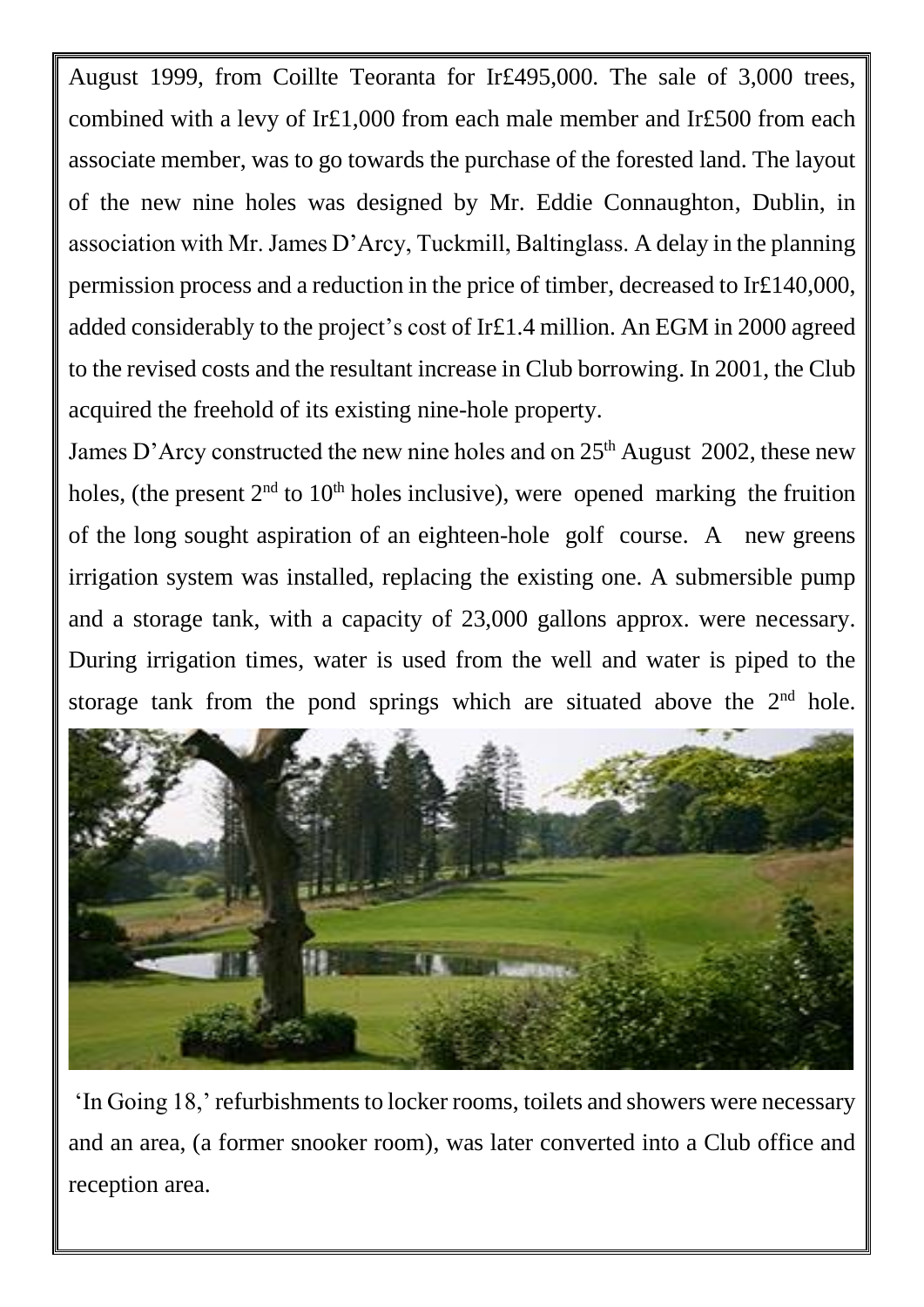August 1999, from Coillte Teoranta for Ir£495,000. The sale of 3,000 trees, combined with a levy of Ir£1,000 from each male member and Ir£500 from each associate member, was to go towards the purchase of the forested land. The layout of the new nine holes was designed by Mr. Eddie Connaughton, Dublin, in association with Mr. James D'Arcy, Tuckmill, Baltinglass. A delay in the planning permission process and a reduction in the price of timber, decreased to Ir£140,000, added considerably to the project's cost of Ir£1.4 million. An EGM in 2000 agreed to the revised costs and the resultant increase in Club borrowing. In 2001, the Club acquired the freehold of its existing nine-hole property.

James D'Arcy constructed the new nine holes and on  $25<sup>th</sup>$  August 2002, these new holes, (the present  $2<sup>nd</sup>$  to  $10<sup>th</sup>$  holes inclusive), were opened marking the fruition of the long sought aspiration of an eighteen-hole golf course. A new greens irrigation system was installed, replacing the existing one. A submersible pump and a storage tank, with a capacity of 23,000 gallons approx. were necessary. During irrigation times, water is used from the well and water is piped to the storage tank from the pond springs which are situated above the  $2<sup>nd</sup>$  hole.



'In Going 18,' refurbishments to locker rooms, toilets and showers were necessary and an area, (a former snooker room), was later converted into a Club office and reception area.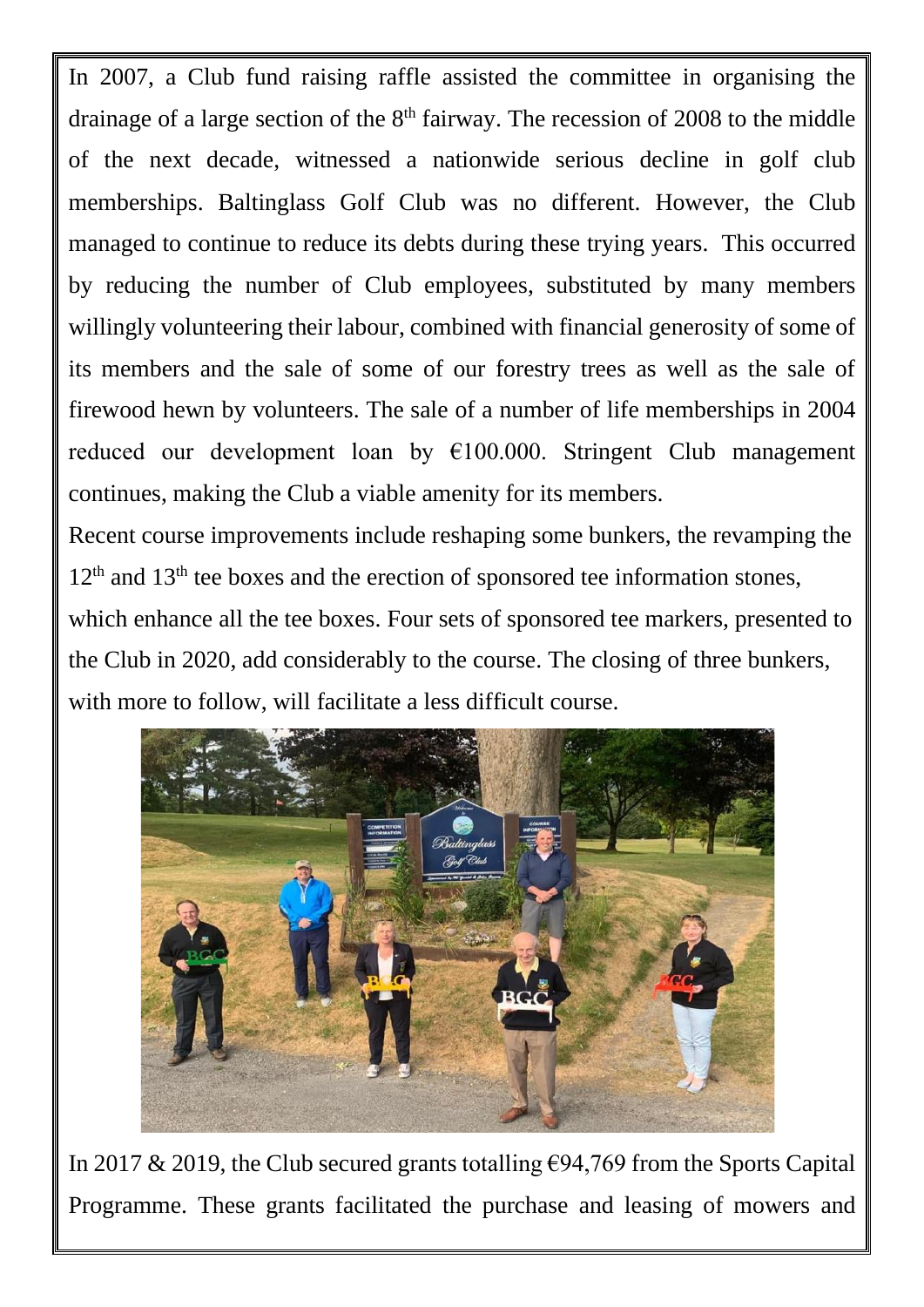In 2007, a Club fund raising raffle assisted the committee in organising the drainage of a large section of the  $8<sup>th</sup>$  fairway. The recession of 2008 to the middle of the next decade, witnessed a nationwide serious decline in golf club memberships. Baltinglass Golf Club was no different. However, the Club managed to continue to reduce its debts during these trying years. This occurred by reducing the number of Club employees, substituted by many members willingly volunteering their labour, combined with financial generosity of some of its members and the sale of some of our forestry trees as well as the sale of firewood hewn by volunteers. The sale of a number of life memberships in 2004 reduced our development loan by €100.000. Stringent Club management continues, making the Club a viable amenity for its members.

Recent course improvements include reshaping some bunkers, the revamping the  $12<sup>th</sup>$  and  $13<sup>th</sup>$  tee boxes and the erection of sponsored tee information stones,

which enhance all the tee boxes. Four sets of sponsored tee markers, presented to the Club in 2020, add considerably to the course. The closing of three bunkers, with more to follow, will facilitate a less difficult course.



In 2017 & 2019, the Club secured grants totalling  $\epsilon$ 94,769 from the Sports Capital Programme. These grants facilitated the purchase and leasing of mowers and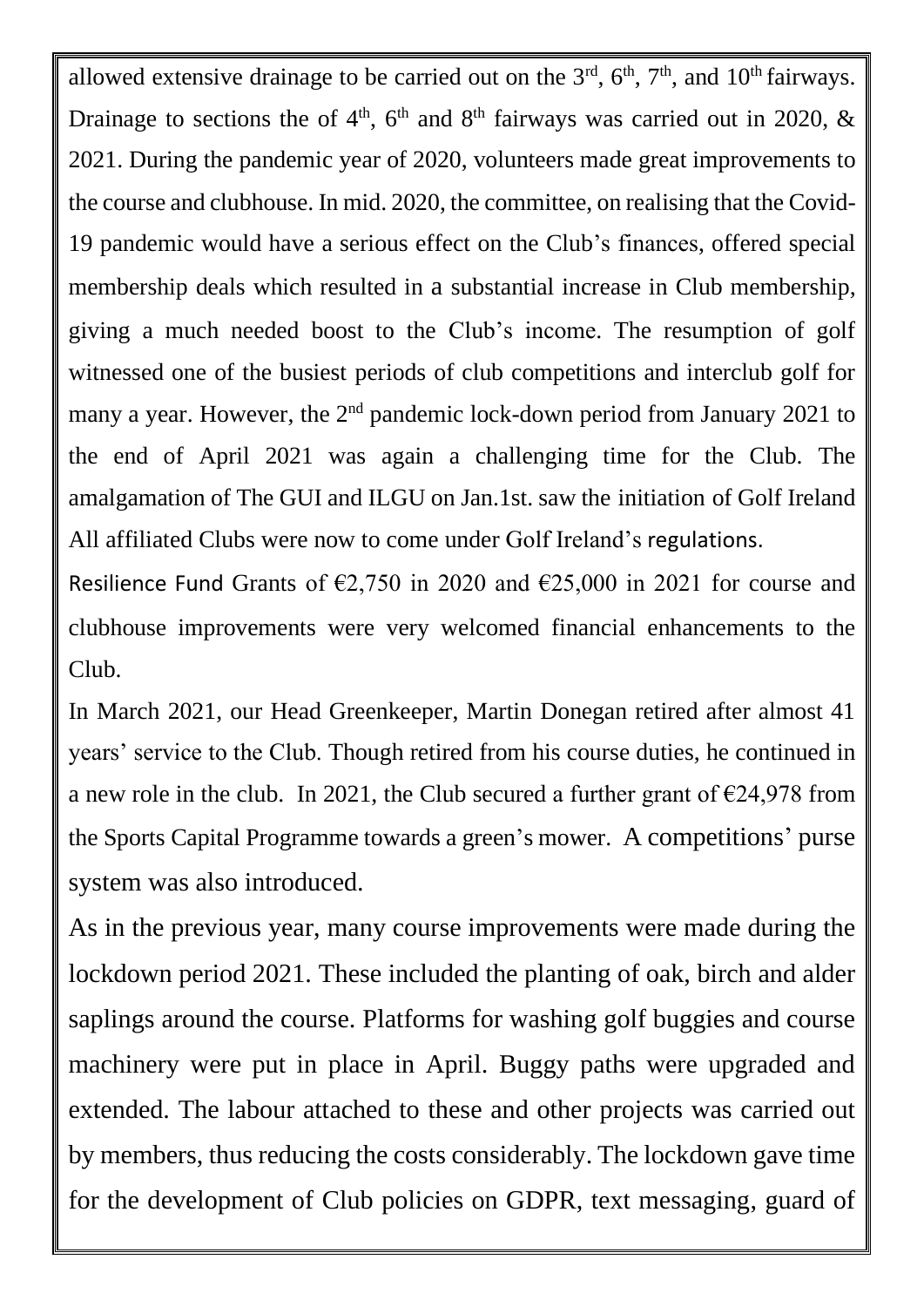allowed extensive drainage to be carried out on the  $3<sup>rd</sup>$ ,  $6<sup>th</sup>$ ,  $7<sup>th</sup>$ , and  $10<sup>th</sup>$  fairways. Drainage to sections the of  $4<sup>th</sup>$ , 6<sup>th</sup> and 8<sup>th</sup> fairways was carried out in 2020, & 2021. During the pandemic year of 2020, volunteers made great improvements to the course and clubhouse. In mid. 2020, the committee, on realising that the Covid-19 pandemic would have a serious effect on the Club's finances, offered special membership deals which resulted in a substantial increase in Club membership, giving a much needed boost to the Club's income. The resumption of golf witnessed one of the busiest periods of club competitions and interclub golf for many a year. However, the 2<sup>nd</sup> pandemic lock-down period from January 2021 to the end of April 2021 was again a challenging time for the Club. The amalgamation of The GUI and ILGU on Jan.1st. saw the initiation of Golf Ireland All affiliated Clubs were now to come under Golf Ireland's regulations.

Resilience Fund Grants of  $\epsilon$ 2,750 in 2020 and  $\epsilon$ 25,000 in 2021 for course and clubhouse improvements were very welcomed financial enhancements to the Club.

In March 2021, our Head Greenkeeper, Martin Donegan retired after almost 41 years' service to the Club. Though retired from his course duties, he continued in a new role in the club. In 2021, the Club secured a further grant of  $\epsilon$ 24,978 from the Sports Capital Programme towards a green's mower. A competitions' purse system was also introduced.

As in the previous year, many course improvements were made during the lockdown period 2021. These included the planting of oak, birch and alder saplings around the course. Platforms for washing golf buggies and course machinery were put in place in April. Buggy paths were upgraded and extended. The labour attached to these and other projects was carried out by members, thus reducing the costs considerably. The lockdown gave time for the development of Club policies on GDPR, text messaging, guard of